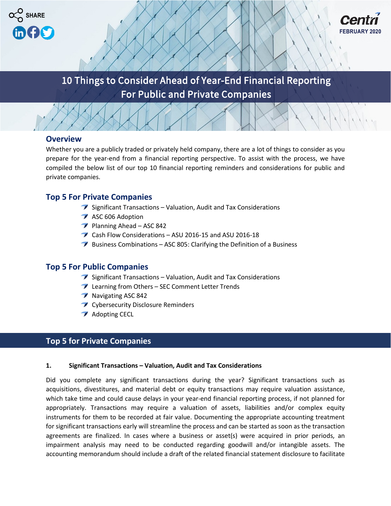



# 10 Things to Consider Ahead of Year-End Financial Reporting For Public and Private Companies

 $10$  Things to Consider A  $\setminus$  Year-End Financial Reporting  $\setminus$ 

# **Overview**

Whether you are a publicly traded or privately held company, there are a lot of things to consider as you prepare for the year-end from a financial reporting perspective. To assist with the process, we have compiled the below list of our top 10 financial reporting reminders and considerations for public and private companies.

# **Top 5 For Private Companies**

- $\rightarrow$  Significant Transactions Valuation, Audit and Tax Considerations
- ASC 606 Adoption
- $\triangledown$  Planning Ahead ASC 842
- Cash Flow Considerations ASU 2016-15 and ASU 2016-18
- $\rightarrow$  Business Combinations ASC 805: Clarifying the Definition of a Business

# **Top 5 For Public Companies**

- $\rightarrow$  Significant Transactions Valuation, Audit and Tax Considerations
- Learning from Others SEC Comment Letter Trends
- Navigating ASC 842
- **T** Cybersecurity Disclosure Reminders
- **Adopting CECL**

# **Top 5 for Private Companies**

#### **1. Significant Transactions – Valuation, Audit and Tax Considerations**

Did you complete any significant transactions during the year? Significant transactions such as acquisitions, divestitures, and material debt or equity transactions may require valuation assistance, which take time and could cause delays in your year-end financial reporting process, if not planned for appropriately. Transactions may require a valuation of assets, liabilities and/or complex equity instruments for them to be recorded at fair value. Documenting the appropriate accounting treatment for significant transactions early will streamline the process and can be started as soon as the transaction agreements are finalized. In cases where a business or asset(s) were acquired in prior periods, an impairment analysis may need to be conducted regarding goodwill and/or intangible assets. The accounting memorandum should include a draft of the related financial statement disclosure to facilitate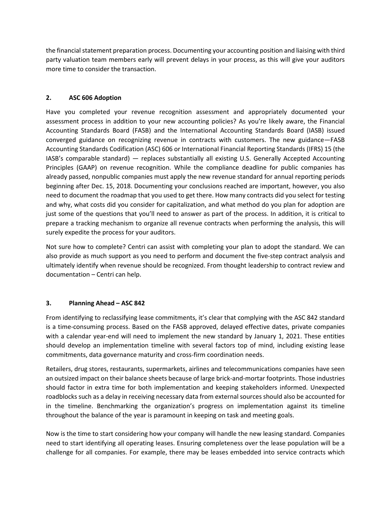the financial statement preparation process. Documenting your accounting position and liaising with third party valuation team members early will prevent delays in your process, as this will give your auditors more time to consider the transaction.

### **2. ASC 606 Adoption**

Have you completed your revenue recognition assessment and appropriately documented your assessment process in addition to your new accounting policies? As you're likely aware, the Financial Accounting Standards Board (FASB) and the International Accounting Standards Board (IASB) issued converged guidance on recognizing revenue in contracts with customers. The new guidance—FASB Accounting Standards Codification (ASC) 606 or International Financial Reporting Standards (IFRS) 15 (the IASB's comparable standard) — replaces substantially all existing U.S. Generally Accepted Accounting Principles (GAAP) on revenue recognition. While the compliance deadline for public companies has already passed, nonpublic companies must apply the new revenue standard for annual reporting periods beginning after Dec. 15, 2018. Documenting your conclusions reached are important, however, you also need to document the roadmap that you used to get there. How many contracts did you select for testing and why, what costs did you consider for capitalization, and what method do you plan for adoption are just some of the questions that you'll need to answer as part of the process. In addition, it is critical to prepare a tracking mechanism to organize all revenue contracts when performing the analysis, this will surely expedite the process for your auditors.

Not sure how to complete? Centri can assist with completing your plan to adopt the standard. We can also provide as much support as you need to perform and document the five-step contract analysis and ultimately identify when revenue should be recognized. From thought leadership to contract review and documentation – Centri can help.

#### **3. Planning Ahead – ASC 842**

From identifying to reclassifying lease commitments, it's clear that complying with the ASC 842 standard is a time-consuming process. Based on the FASB approved, delayed effective dates, private companies with a calendar year-end will need to implement the new standard by January 1, 2021. These entities should develop an implementation timeline with several factors top of mind, including existing lease commitments, data governance maturity and cross-firm coordination needs.

Retailers, drug stores, restaurants, supermarkets, airlines and telecommunications companies have seen an outsized impact on their balance sheets because of large brick-and-mortar footprints. Those industries should factor in extra time for both implementation and keeping stakeholders informed. Unexpected roadblocks such as a delay in receiving necessary data from external sources should also be accounted for in the timeline. Benchmarking the organization's progress on implementation against its timeline throughout the balance of the year is paramount in keeping on task and meeting goals.

Now is the time to start considering how your company will handle the new leasing standard. Companies need to start identifying all operating leases. Ensuring completeness over the lease population will be a challenge for all companies. For example, there may be leases embedded into service contracts which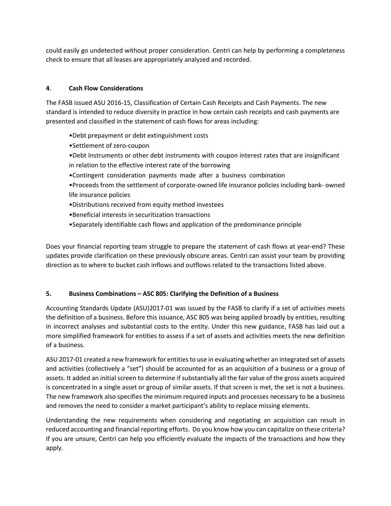could easily go undetected without proper consideration. Centri can help by performing a completeness check to ensure that all leases are appropriately analyzed and recorded.

## **4**. **Cash Flow Considerations**

The FASB issued ASU 2016-15, Classification of Certain Cash Receipts and Cash Payments. The new standard is intended to reduce diversity in practice in how certain cash receipts and cash payments are presented and classified in the statement of cash flows for areas including:

- •Debt prepayment or debt extinguishment costs
- •Settlement of zero-coupon
- •Debt Instruments or other debt instruments with coupon interest rates that are insignificant in relation to the effective interest rate of the borrowing
- •Contingent consideration payments made after a business combination
- •Proceeds from the settlement of corporate-owned life insurance policies including bank- owned life insurance policies
- •Distributions received from equity method investees
- •Beneficial interests in securitization transactions
- •Separately identifiable cash flows and application of the predominance principle

Does your financial reporting team struggle to prepare the statement of cash flows at year-end? These updates provide clarification on these previously obscure areas. Centri can assist your team by providing direction as to where to bucket cash inflows and outflows related to the transactions listed above.

## **5. Business Combinations – ASC 805: Clarifying the Definition of a Business**

Accounting Standards Update (ASU)2017-01 was issued by the FASB to clarify if a set of activities meets the definition of a business. Before this issuance, ASC 805 was being applied broadly by entities, resulting in incorrect analyses and substantial costs to the entity. Under this new guidance, FASB has laid out a more simplified framework for entities to assess if a set of assets and activities meets the new definition of a business.

ASU 2017-01 created a new framework for entities to use in evaluating whether an integrated set of assets and activities (collectively a "set") should be accounted for as an acquisition of a business or a group of assets. It added an initial screen to determine if substantially all the fair value of the gross assets acquired is concentrated in a single asset or group of similar assets. If that screen is met, the set is not a business. The new framework also specifies the minimum required inputs and processes necessary to be a business and removes the need to consider a market participant's ability to replace missing elements.

Understanding the new requirements when considering and negotiating an acquisition can result in reduced accounting and financial reporting efforts. Do you know how you can capitalize on these criteria? If you are unsure, Centri can help you efficiently evaluate the impacts of the transactions and how they apply.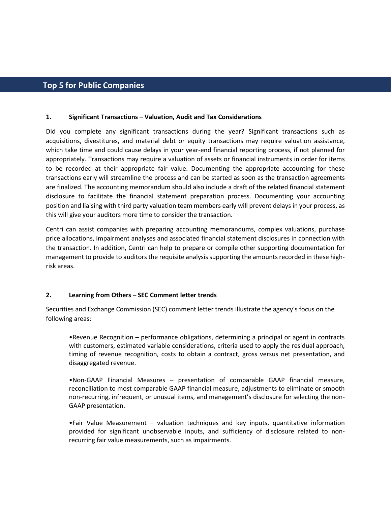# **Top 5 for Public Companies**

#### **1. Significant Transactions – Valuation, Audit and Tax Considerations**

Did you complete any significant transactions during the year? Significant transactions such as acquisitions, divestitures, and material debt or equity transactions may require valuation assistance, which take time and could cause delays in your year-end financial reporting process, if not planned for appropriately. Transactions may require a valuation of assets or financial instruments in order for items to be recorded at their appropriate fair value. Documenting the appropriate accounting for these transactions early will streamline the process and can be started as soon as the transaction agreements are finalized. The accounting memorandum should also include a draft of the related financial statement disclosure to facilitate the financial statement preparation process. Documenting your accounting position and liaising with third party valuation team members early will prevent delays in your process, as this will give your auditors more time to consider the transaction.

Centri can assist companies with preparing accounting memorandums, complex valuations, purchase price allocations, impairment analyses and associated financial statement disclosures in connection with the transaction. In addition, Centri can help to prepare or compile other supporting documentation for management to provide to auditors the requisite analysis supporting the amounts recorded in these highrisk areas.

#### **2. Learning from Others – SEC Comment letter trends**

Securities and Exchange Commission (SEC) comment letter trends illustrate the agency's focus on the following areas:

•Revenue Recognition – performance obligations, determining a principal or agent in contracts with customers, estimated variable considerations, criteria used to apply the residual approach, timing of revenue recognition, costs to obtain a contract, gross versus net presentation, and disaggregated revenue.

•Non-GAAP Financial Measures – presentation of comparable GAAP financial measure, reconciliation to most comparable GAAP financial measure, adjustments to eliminate or smooth non-recurring, infrequent, or unusual items, and management's disclosure for selecting the non-GAAP presentation.

•Fair Value Measurement – valuation techniques and key inputs, quantitative information provided for significant unobservable inputs, and sufficiency of disclosure related to nonrecurring fair value measurements, such as impairments.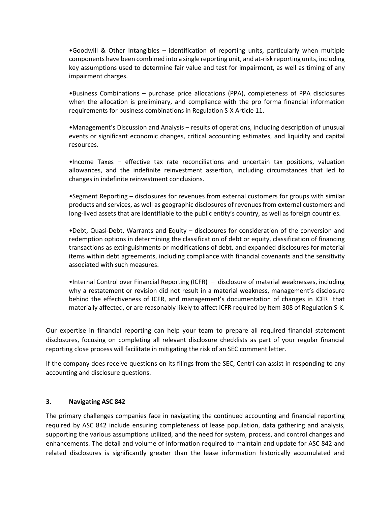•Goodwill & Other Intangibles – identification of reporting units, particularly when multiple components have been combined into a single reporting unit, and at-risk reporting units, including key assumptions used to determine fair value and test for impairment, as well as timing of any impairment charges.

•Business Combinations – purchase price allocations (PPA), completeness of PPA disclosures when the allocation is preliminary, and compliance with the pro forma financial information requirements for business combinations in Regulation S-X Article 11.

•Management's Discussion and Analysis – results of operations, including description of unusual events or significant economic changes, critical accounting estimates, and liquidity and capital resources.

•Income Taxes – effective tax rate reconciliations and uncertain tax positions, valuation allowances, and the indefinite reinvestment assertion, including circumstances that led to changes in indefinite reinvestment conclusions.

•Segment Reporting – disclosures for revenues from external customers for groups with similar products and services, as well as geographic disclosures of revenues from external customers and long-lived assets that are identifiable to the public entity's country, as well as foreign countries.

•Debt, Quasi-Debt, Warrants and Equity – disclosures for consideration of the conversion and redemption options in determining the classification of debt or equity, classification of financing transactions as extinguishments or modifications of debt, and expanded disclosures for material items within debt agreements, including compliance with financial covenants and the sensitivity associated with such measures.

•Internal Control over Financial Reporting (ICFR) – disclosure of material weaknesses, including why a restatement or revision did not result in a material weakness, management's disclosure behind the effectiveness of ICFR, and management's documentation of changes in ICFR that materially affected, or are reasonably likely to affect ICFR required by Item 308 of Regulation S-K.

Our expertise in financial reporting can help your team to prepare all required financial statement disclosures, focusing on completing all relevant disclosure checklists as part of your regular financial reporting close process will facilitate in mitigating the risk of an SEC comment letter.

If the company does receive questions on its filings from the SEC, Centri can assist in responding to any accounting and disclosure questions.

#### **3. Navigating ASC 842**

The primary challenges companies face in navigating the continued accounting and financial reporting required by ASC 842 include ensuring completeness of lease population, data gathering and analysis, supporting the various assumptions utilized, and the need for system, process, and control changes and enhancements. The detail and volume of information required to maintain and update for ASC 842 and related disclosures is significantly greater than the lease information historically accumulated and